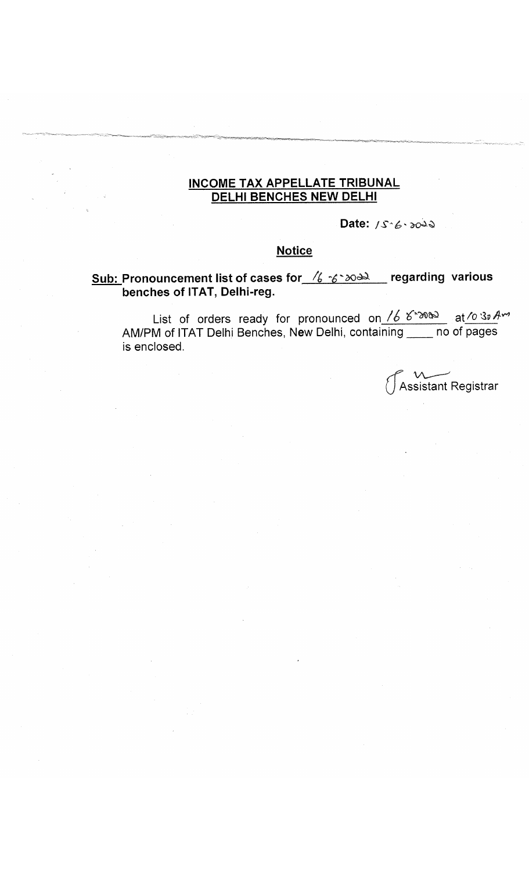## **INCOME TAX APPELLATE TRIBUNAL DELHI BENCHES NEW DELHI**

Date: 15.6.2022

### **Notice**

# **Sub: Pronouncement list of cases for**  $\frac{76.200 \text{ m}}{2000 \text{ m}}$  regarding various **benches of ITAT, Delhi-reg.**

List of orders ready for pronounced on *fb* AM/PM of ITAT Delhi Benches, New Delhi, containing \_\_\_\_ no of pages is enclosed.

Assistant Registrar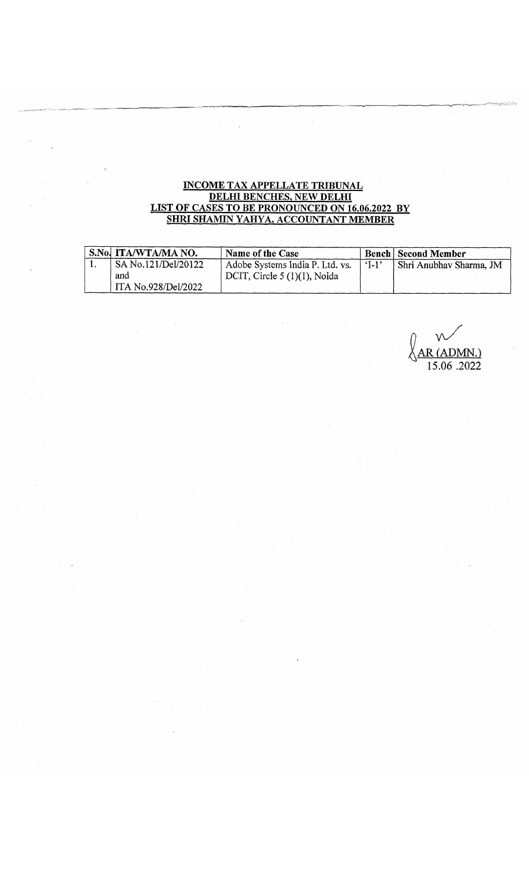#### INCOME TAX APPELLATE TRIBUNAL DELHI BENCHES, NEW DELHI LIST OF CASES TO BE PRONOUNCED ON 16.06.2022 BY SHRI SHAMIN YAHYA, ACCOUNTANT MEMBER

| S.No. ITA/WTA/MA NO. | Name of the Case                |         | <b>Bench Second Member</b> |
|----------------------|---------------------------------|---------|----------------------------|
| SA No.121/Del/20122  | Adobe Systems India P. Ltd. vs. | $1 - 1$ | Shri Anubhav Sharma, JM    |
| and                  | DCIT, Circle $5(1)(1)$ , Noida  |         |                            |
| ITA No.928/Del/2022  |                                 |         |                            |

*<sup>n</sup>* w /  $R$  (ADMN.) 15.06 .2022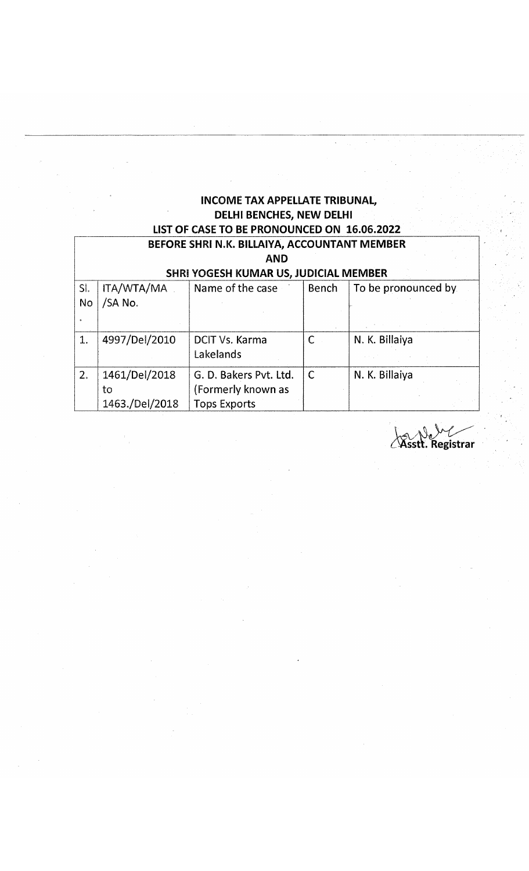## **INCOME TAX APPELLATE TRIBUNAL, DELHI BENCHES, NEW DELHI LIST OF CASE TO BE PRONOUNCED ON 16.06.2022 BEFORE SHRI N.K. BILLAIYA, ACCOUNTANT MEMBER**

|     | BEFORE SHRI N.K. BILLAIYA, ACCOUNTANT IVIEIVIBER    |                        |              |                     |  |  |  |
|-----|-----------------------------------------------------|------------------------|--------------|---------------------|--|--|--|
|     | <b>AND</b><br>SHRI YOGESH KUMAR US, JUDICIAL MEMBER |                        |              |                     |  |  |  |
|     |                                                     |                        |              |                     |  |  |  |
| SI. | ITA/WTA/MA                                          | Name of the case       | Bench        | To be pronounced by |  |  |  |
| No  | /SA No.                                             |                        |              |                     |  |  |  |
|     |                                                     |                        |              |                     |  |  |  |
|     |                                                     |                        |              |                     |  |  |  |
| 1.  | 4997/Del/2010                                       | DCIT Vs. Karma         | $\mathsf{C}$ | N. K. Billaiya      |  |  |  |
|     |                                                     | Lakelands              |              |                     |  |  |  |
| 2.  | 1461/Del/2018                                       | G. D. Bakers Pvt. Ltd. | $\mathsf{C}$ | N. K. Billaiya      |  |  |  |
|     | to                                                  | (Formerly known as     |              |                     |  |  |  |
|     | 1463./Del/2018                                      | <b>Tops Exports</b>    |              |                     |  |  |  |

Asstt. Registrar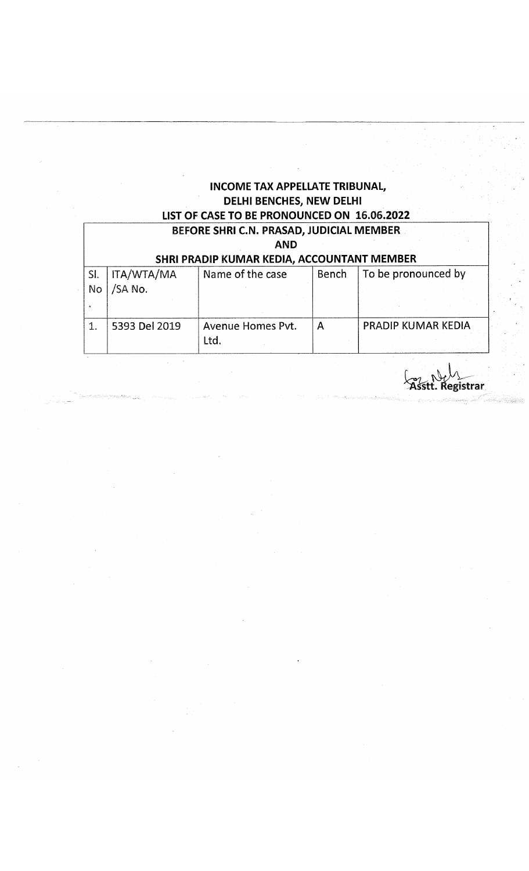# **INCOME TAX APPELLATE TRIBUNAL, DELHI BENCHES, NEW DELHI LIST OF CASE TO BE PRONOUNCED ON 16.06.2022**

| BEFORE SHRI C.N. PRASAD, JUDICIAL MEMBER<br><b>AND</b><br>SHRI PRADIP KUMAR KEDIA, ACCOUNTANT MEMBER |                              |                           |       |                           |  |
|------------------------------------------------------------------------------------------------------|------------------------------|---------------------------|-------|---------------------------|--|
| SI.<br>No                                                                                            | <b>ITA/WTA/MA</b><br>/SA No. | Name of the case          | Bench | To be pronounced by       |  |
|                                                                                                      | 5393 Del 2019                | Avenue Homes Pvt.<br>Ltd. | A     | <b>PRADIP KUMAR KEDIA</b> |  |

**^SsttJ^egfetrar**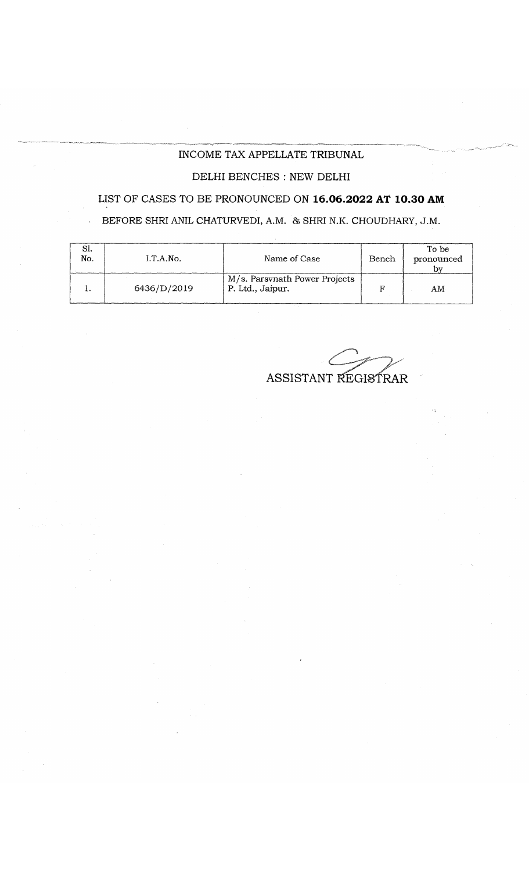#### INCOME TAX APPELLATE TRIBUNAL

## DELHI BENCHES : NEW DELHI

### LIST OF CASES TO BE PRONOUNCED ON **16.06.2022 AT 10.30 AM**

# BEFORE SHRI ANIL CHATURVEDI, A.M. & SHRI N.K. CHOUDHARY, J.M.

| OI.<br>No. | I.T.A.No.   | Name of Case                                      | Bench | To be<br>pronounced |
|------------|-------------|---------------------------------------------------|-------|---------------------|
|            | 6436/D/2019 | M/s. Parsvnath Power Projects<br>P. Ltd., Jaipur. |       | AM                  |

ASSISTANT REGISTRAR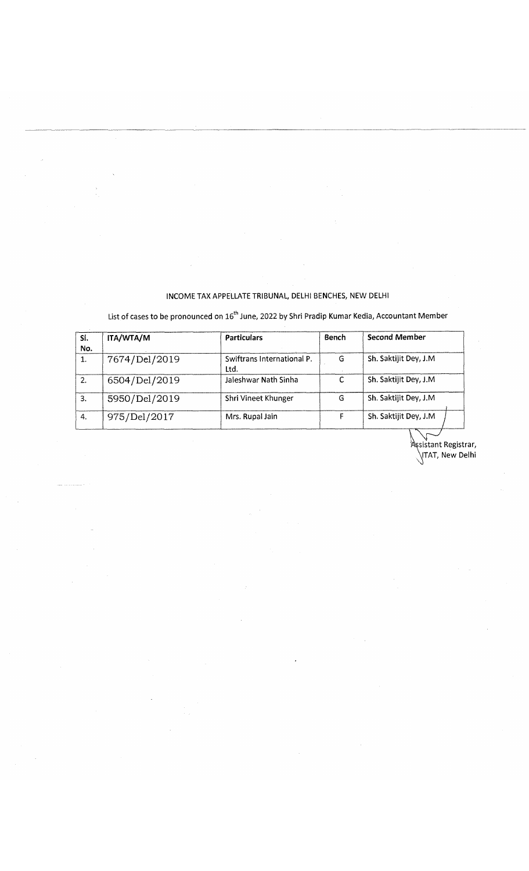#### INCOME TAX APPELLATE TRIBUNAL, DELHI BENCHES, NEW DELHI

List of cases to be pronounced on  $16^{\text{th}}$  June, 2022 by Shri Pradip Kumar Kedia, Accountant Member

| SI.<br>No. | ITA/WTA/M     | <b>Particulars</b>                 | Bench | <b>Second Member</b>  |  |  |
|------------|---------------|------------------------------------|-------|-----------------------|--|--|
| 1.         | 7674/Del/2019 | Swiftrans International P.<br>Ltd. | G     | Sh. Saktijit Dey, J.M |  |  |
| 2.         | 6504/Del/2019 | Jaleshwar Nath Sinha               | -C    | Sh. Saktijit Dey, J.M |  |  |
| 3.         | 5950/Del/2019 | Shri Vineet Khunger                | G     | Sh. Saktijit Dey, J.M |  |  |
| 4.         | 975/Del/2017  | Mrs. Rupal Jain                    |       | Sh. Saktijit Dey, J.M |  |  |

Registrar, New Delhi